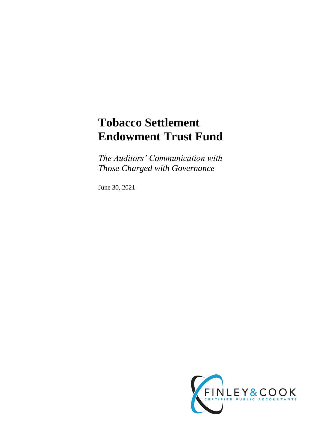# **Tobacco Settlement Endowment Trust Fund**

*The Auditors' Communication with Those Charged with Governance*

June 30, 2021

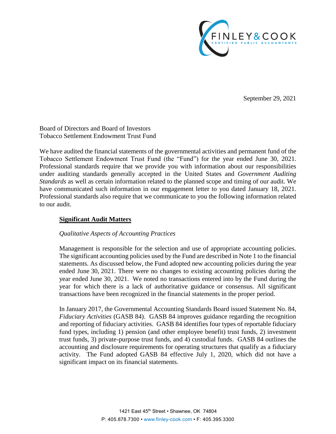

September 29, 2021

Board of Directors and Board of Investors Tobacco Settlement Endowment Trust Fund

We have audited the financial statements of the governmental activities and permanent fund of the Tobacco Settlement Endowment Trust Fund (the "Fund") for the year ended June 30, 2021. Professional standards require that we provide you with information about our responsibilities under auditing standards generally accepted in the United States and *Government Auditing Standards* as well as certain information related to the planned scope and timing of our audit. We have communicated such information in our engagement letter to you dated January 18, 2021. Professional standards also require that we communicate to you the following information related to our audit.

# **Significant Audit Matters**

## *Qualitative Aspects of Accounting Practices*

Management is responsible for the selection and use of appropriate accounting policies. The significant accounting policies used by the Fund are described in Note 1 to the financial statements. As discussed below, the Fund adopted new accounting policies during the year ended June 30, 2021. There were no changes to existing accounting policies during the year ended June 30, 2021. We noted no transactions entered into by the Fund during the year for which there is a lack of authoritative guidance or consensus. All significant transactions have been recognized in the financial statements in the proper period.

In January 2017, the Governmental Accounting Standards Board issued Statement No. 84, *Fiduciary Activities* (GASB 84). GASB 84 improves guidance regarding the recognition and reporting of fiduciary activities. GASB 84 identifies four types of reportable fiduciary fund types, including 1) pension (and other employee benefit) trust funds, 2) investment trust funds, 3) private-purpose trust funds, and 4) custodial funds. GASB 84 outlines the accounting and disclosure requirements for operating structures that qualify as a fiduciary activity. The Fund adopted GASB 84 effective July 1, 2020, which did not have a significant impact on its financial statements.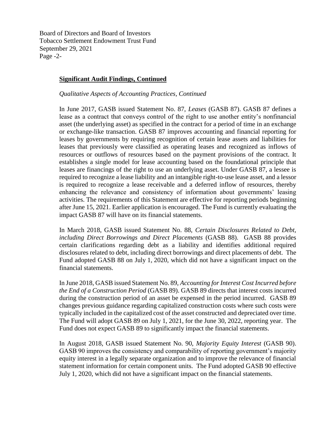Board of Directors and Board of Investors Tobacco Settlement Endowment Trust Fund September 29, 2021 Page -2-

## **Significant Audit Findings, Continued**

#### *Qualitative Aspects of Accounting Practices, Continued*

In June 2017, GASB issued Statement No. 87, *Leases* (GASB 87). GASB 87 defines a lease as a contract that conveys control of the right to use another entity's nonfinancial asset (the underlying asset) as specified in the contract for a period of time in an exchange or exchange-like transaction. GASB 87 improves accounting and financial reporting for leases by governments by requiring recognition of certain lease assets and liabilities for leases that previously were classified as operating leases and recognized as inflows of resources or outflows of resources based on the payment provisions of the contract. It establishes a single model for lease accounting based on the foundational principle that leases are financings of the right to use an underlying asset. Under GASB 87, a lessee is required to recognize a lease liability and an intangible right-to-use lease asset, and a lessor is required to recognize a lease receivable and a deferred inflow of resources, thereby enhancing the relevance and consistency of information about governments' leasing activities. The requirements of this Statement are effective for reporting periods beginning after June 15, 2021. Earlier application is encouraged. The Fund is currently evaluating the impact GASB 87 will have on its financial statements.

In March 2018, GASB issued Statement No. 88, *Certain Disclosures Related to Debt, including Direct Borrowings and Direct Placements* (GASB 88). GASB 88 provides certain clarifications regarding debt as a liability and identifies additional required disclosures related to debt, including direct borrowings and direct placements of debt. The Fund adopted GASB 88 on July 1, 2020, which did not have a significant impact on the financial statements.

In June 2018, GASB issued Statement No. 89, *Accounting for Interest Cost Incurred before the End of a Construction Period* (GASB 89). GASB 89 directs that interest costs incurred during the construction period of an asset be expensed in the period incurred. GASB 89 changes previous guidance regarding capitalized construction costs where such costs were typically included in the capitalized cost of the asset constructed and depreciated over time. The Fund will adopt GASB 89 on July 1, 2021, for the June 30, 2022, reporting year. The Fund does not expect GASB 89 to significantly impact the financial statements.

In August 2018, GASB issued Statement No. 90, *Majority Equity Interest* (GASB 90). GASB 90 improves the consistency and comparability of reporting government's majority equity interest in a legally separate organization and to improve the relevance of financial statement information for certain component units. The Fund adopted GASB 90 effective July 1, 2020, which did not have a significant impact on the financial statements.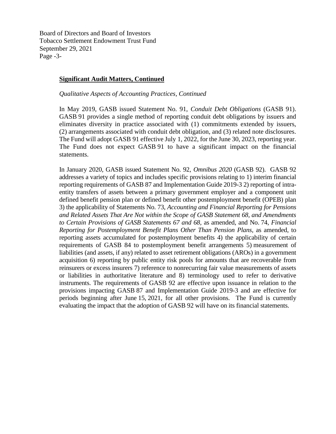Board of Directors and Board of Investors Tobacco Settlement Endowment Trust Fund September 29, 2021 Page -3-

## **Significant Audit Matters, Continued**

#### *Qualitative Aspects of Accounting Practices, Continued*

In May 2019, GASB issued Statement No. 91, *Conduit Debt Obligations* (GASB 91). GASB 91 provides a single method of reporting conduit debt obligations by issuers and eliminates diversity in practice associated with (1) commitments extended by issuers, (2) arrangements associated with conduit debt obligation, and (3) related note disclosures. The Fund will adopt GASB 91 effective July 1, 2022, for the June 30, 2023, reporting year. The Fund does not expect GASB 91 to have a significant impact on the financial statements.

In January 2020, GASB issued Statement No. 92, *Omnibus 2020* (GASB 92). GASB 92 addresses a variety of topics and includes specific provisions relating to 1) interim financial reporting requirements of GASB 87 and Implementation Guide 2019-3 2) reporting of intraentity transfers of assets between a primary government employer and a component unit defined benefit pension plan or defined benefit other postemployment benefit (OPEB) plan 3) the applicability of Statements No. 73, *Accounting and Financial Reporting for Pensions and Related Assets That Are Not within the Scope of GASB Statement 68, and Amendments to Certain Provisions of GASB Statements 67 and 68,* as amended, and No. 74, *Financial Reporting for Postemployment Benefit Plans Other Than Pension Plans,* as amended, to reporting assets accumulated for postemployment benefits 4) the applicability of certain requirements of GASB 84 to postemployment benefit arrangements 5) measurement of liabilities (and assets, if any) related to asset retirement obligations (AROs) in a government acquisition 6) reporting by public entity risk pools for amounts that are recoverable from reinsurers or excess insurers 7) reference to nonrecurring fair value measurements of assets or liabilities in authoritative literature and 8) terminology used to refer to derivative instruments. The requirements of GASB 92 are effective upon issuance in relation to the provisions impacting GASB 87 and Implementation Guide 2019-3 and are effective for periods beginning after June 15, 2021, for all other provisions. The Fund is currently evaluating the impact that the adoption of GASB 92 will have on its financial statements.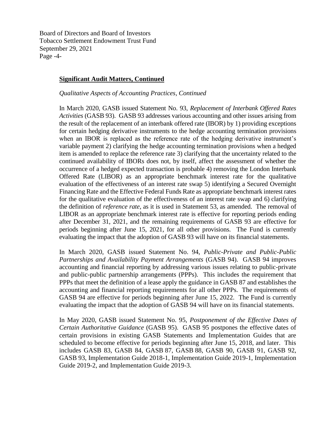Board of Directors and Board of Investors Tobacco Settlement Endowment Trust Fund September 29, 2021 Page -4-

## **Significant Audit Matters, Continued**

#### *Qualitative Aspects of Accounting Practices, Continued*

In March 2020, GASB issued Statement No. 93, *Replacement of Interbank Offered Rates Activities* (GASB 93). GASB 93 addresses various accounting and other issues arising from the result of the replacement of an interbank offered rate (IBOR) by 1) providing exceptions for certain hedging derivative instruments to the hedge accounting termination provisions when an IBOR is replaced as the reference rate of the hedging derivative instrument's variable payment 2) clarifying the hedge accounting termination provisions when a hedged item is amended to replace the reference rate 3) clarifying that the uncertainty related to the continued availability of IBORs does not, by itself, affect the assessment of whether the occurrence of a hedged expected transaction is probable 4) removing the London Interbank Offered Rate (LIBOR) as an appropriate benchmark interest rate for the qualitative evaluation of the effectiveness of an interest rate swap 5) identifying a Secured Overnight Financing Rate and the Effective Federal Funds Rate as appropriate benchmark interest rates for the qualitative evaluation of the effectiveness of an interest rate swap and 6) clarifying the definition of *reference rate*, as it is used in Statement 53, as amended. The removal of LIBOR as an appropriate benchmark interest rate is effective for reporting periods ending after December 31, 2021, and the remaining requirements of GASB 93 are effective for periods beginning after June 15, 2021, for all other provisions. The Fund is currently evaluating the impact that the adoption of GASB 93 will have on its financial statements.

In March 2020, GASB issued Statement No. 94, *Public-Private and Public-Public Partnerships and Availability Payment Arrangements* (GASB 94). GASB 94 improves accounting and financial reporting by addressing various issues relating to public-private and public-public partnership arrangements (PPPs). This includes the requirement that PPPs that meet the definition of a lease apply the guidance in GASB 87 and establishes the accounting and financial reporting requirements for all other PPPs. The requirements of GASB 94 are effective for periods beginning after June 15, 2022. The Fund is currently evaluating the impact that the adoption of GASB 94 will have on its financial statements.

In May 2020, GASB issued Statement No. 95, *Postponement of the Effective Dates of Certain Authoritative Guidance* (GASB 95). GASB 95 postpones the effective dates of certain provisions in existing GASB Statements and Implementation Guides that are scheduled to become effective for periods beginning after June 15, 2018, and later. This includes GASB 83, GASB 84, GASB 87, GASB 88, GASB 90, GASB 91, GASB 92, GASB 93, Implementation Guide 2018-1, Implementation Guide 2019-1, Implementation Guide 2019-2, and Implementation Guide 2019-3.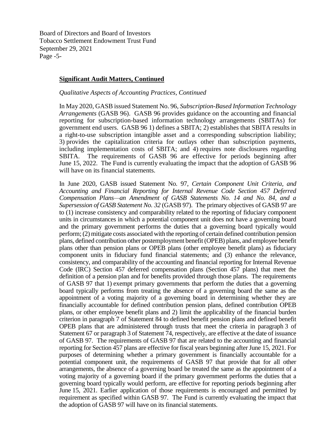Board of Directors and Board of Investors Tobacco Settlement Endowment Trust Fund September 29, 2021 Page -5-

#### **Significant Audit Matters, Continued**

#### *Qualitative Aspects of Accounting Practices, Continued*

In May 2020, GASB issued Statement No. 96, *Subscription-Based Information Technology Arrangements* (GASB 96). GASB 96 provides guidance on the accounting and financial reporting for subscription-based information technology arrangements (SBITAs) for government end users. GASB 96 1) defines a SBITA; 2) establishes that SBITA results in a right-to-use subscription intangible asset and a corresponding subscription liability; 3) provides the capitalization criteria for outlays other than subscription payments, including implementation costs of SBITA; and 4) requires note disclosures regarding SBITA. The requirements of GASB 96 are effective for periods beginning after June 15, 2022. The Fund is currently evaluating the impact that the adoption of GASB 96 will have on its financial statements.

In June 2020, GASB issued Statement No. 97, *Certain Component Unit Criteria, and Accounting and Financial Reporting for Internal Revenue Code Section 457 Deferred Compensation Plans—an Amendment of GASB Statements No. 14 and No. 84, and a Supersession of GASB Statement No. 32* (GASB 97). The primary objectives of GASB 97 are to (1) increase consistency and comparability related to the reporting of fiduciary component units in circumstances in which a potential component unit does not have a governing board and the primary government performs the duties that a governing board typically would perform; (2) mitigate costs associated with the reporting of certain defined contribution pension plans, defined contribution other postemployment benefit (OPEB) plans, and employee benefit plans other than pension plans or OPEB plans (other employee benefit plans) as fiduciary component units in fiduciary fund financial statements; and (3) enhance the relevance, consistency, and comparability of the accounting and financial reporting for Internal Revenue Code (IRC) Section 457 deferred compensation plans (Section 457 plans) that meet the definition of a pension plan and for benefits provided through those plans. The requirements of GASB 97 that 1) exempt primary governments that perform the duties that a governing board typically performs from treating the absence of a governing board the same as the appointment of a voting majority of a governing board in determining whether they are financially accountable for defined contribution pension plans, defined contribution OPEB plans, or other employee benefit plans and 2) limit the applicability of the financial burden criterion in paragraph 7 of Statement 84 to defined benefit pension plans and defined benefit OPEB plans that are administered through trusts that meet the criteria in paragraph 3 of Statement 67 or paragraph 3 of Statement 74, respectively, are effective at the date of issuance of GASB 97. The requirements of GASB 97 that are related to the accounting and financial reporting for Section 457 plans are effective for fiscal years beginning after June 15, 2021. For purposes of determining whether a primary government is financially accountable for a potential component unit, the requirements of GASB 97 that provide that for all other arrangements, the absence of a governing board be treated the same as the appointment of a voting majority of a governing board if the primary government performs the duties that a governing board typically would perform, are effective for reporting periods beginning after June 15, 2021. Earlier application of those requirements is encouraged and permitted by requirement as specified within GASB 97. The Fund is currently evaluating the impact that the adoption of GASB 97 will have on its financial statements.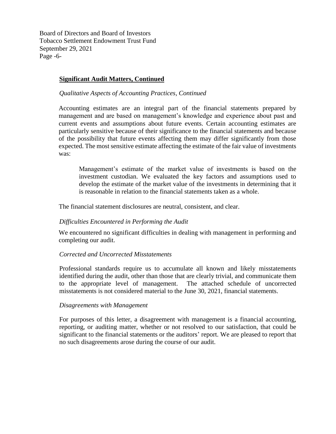Board of Directors and Board of Investors Tobacco Settlement Endowment Trust Fund September 29, 2021 Page -6-

## **Significant Audit Matters, Continued**

#### *Qualitative Aspects of Accounting Practices, Continued*

Accounting estimates are an integral part of the financial statements prepared by management and are based on management's knowledge and experience about past and current events and assumptions about future events. Certain accounting estimates are particularly sensitive because of their significance to the financial statements and because of the possibility that future events affecting them may differ significantly from those expected. The most sensitive estimate affecting the estimate of the fair value of investments was:

Management's estimate of the market value of investments is based on the investment custodian. We evaluated the key factors and assumptions used to develop the estimate of the market value of the investments in determining that it is reasonable in relation to the financial statements taken as a whole.

The financial statement disclosures are neutral, consistent, and clear.

#### *Difficulties Encountered in Performing the Audit*

We encountered no significant difficulties in dealing with management in performing and completing our audit.

## *Corrected and Uncorrected Misstatements*

Professional standards require us to accumulate all known and likely misstatements identified during the audit, other than those that are clearly trivial, and communicate them to the appropriate level of management. The attached schedule of uncorrected misstatements is not considered material to the June 30, 2021, financial statements.

#### *Disagreements with Management*

For purposes of this letter, a disagreement with management is a financial accounting, reporting, or auditing matter, whether or not resolved to our satisfaction, that could be significant to the financial statements or the auditors' report. We are pleased to report that no such disagreements arose during the course of our audit.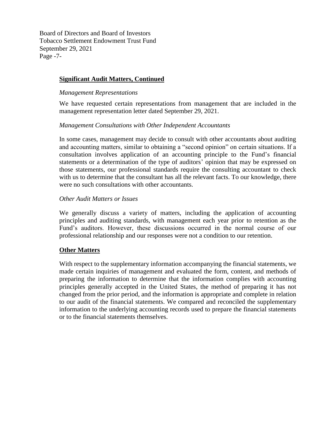Board of Directors and Board of Investors Tobacco Settlement Endowment Trust Fund September 29, 2021 Page -7-

# **Significant Audit Matters, Continued**

## *Management Representations*

We have requested certain representations from management that are included in the management representation letter dated September 29, 2021.

## *Management Consultations with Other Independent Accountants*

In some cases, management may decide to consult with other accountants about auditing and accounting matters, similar to obtaining a "second opinion" on certain situations. If a consultation involves application of an accounting principle to the Fund's financial statements or a determination of the type of auditors' opinion that may be expressed on those statements, our professional standards require the consulting accountant to check with us to determine that the consultant has all the relevant facts. To our knowledge, there were no such consultations with other accountants.

## *Other Audit Matters or Issues*

We generally discuss a variety of matters, including the application of accounting principles and auditing standards, with management each year prior to retention as the Fund's auditors. However, these discussions occurred in the normal course of our professional relationship and our responses were not a condition to our retention.

## **Other Matters**

With respect to the supplementary information accompanying the financial statements, we made certain inquiries of management and evaluated the form, content, and methods of preparing the information to determine that the information complies with accounting principles generally accepted in the United States, the method of preparing it has not changed from the prior period, and the information is appropriate and complete in relation to our audit of the financial statements. We compared and reconciled the supplementary information to the underlying accounting records used to prepare the financial statements or to the financial statements themselves.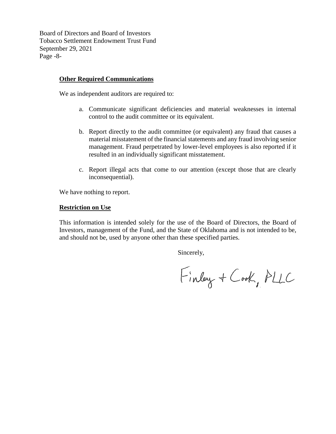Board of Directors and Board of Investors Tobacco Settlement Endowment Trust Fund September 29, 2021 Page -8-

## **Other Required Communications**

We as independent auditors are required to:

- a. Communicate significant deficiencies and material weaknesses in internal control to the audit committee or its equivalent.
- b. Report directly to the audit committee (or equivalent) any fraud that causes a material misstatement of the financial statements and any fraud involving senior management. Fraud perpetrated by lower-level employees is also reported if it resulted in an individually significant misstatement.
- c. Report illegal acts that come to our attention (except those that are clearly inconsequential).

We have nothing to report.

#### **Restriction on Use**

This information is intended solely for the use of the Board of Directors, the Board of Investors, management of the Fund, and the State of Oklahoma and is not intended to be, and should not be, used by anyone other than these specified parties.

Sincerely,

Finlay + Cook, PLLC